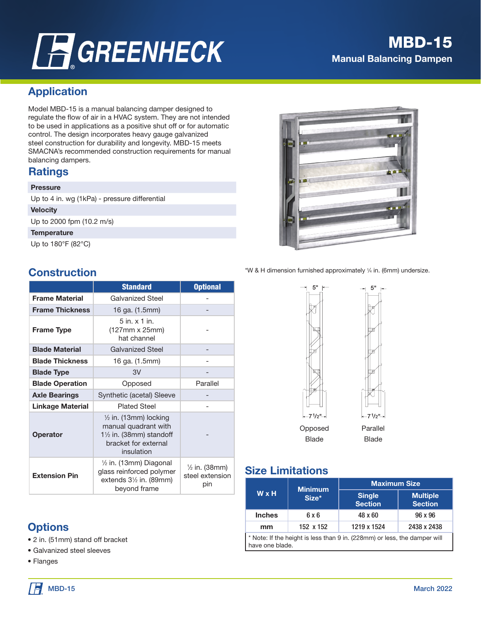# **A GREENHECK**

### MODEL MET Manual Balancing Damper Multi-Blade MBD-15 Manual Balancing Dampen

# Application

Model MBD-15 is a manual balancing damper designed to regulate the flow of air in a HVAC system. They are not intended to be used in applications as a positive shut off or for automatic control. The design incorporates heavy gauge galvanized steel construction for durability and longevity. MBD-15 meets SMACNA's recommended construction requirements for manual balancing dampers.

## **Ratings**

### **Pressure**

Up to 4 in. wg (1kPa) - pressure differential

### **Velocity**

Up to 2000 fpm (10.2 m/s)

### **Temperature**

Up to 180°F (82°C)

### **Construction**

|                         | <b>Standard</b>                                                                                                                      | <b>Optional</b>                                    |
|-------------------------|--------------------------------------------------------------------------------------------------------------------------------------|----------------------------------------------------|
| <b>Frame Material</b>   | <b>Galvanized Steel</b>                                                                                                              |                                                    |
| <b>Frame Thickness</b>  | 16 ga. (1.5mm)                                                                                                                       |                                                    |
| <b>Frame Type</b>       | $5$ in. $\times$ 1 in.<br>(127mm x 25mm)<br>hat channel                                                                              |                                                    |
| <b>Blade Material</b>   | <b>Galvanized Steel</b>                                                                                                              |                                                    |
| <b>Blade Thickness</b>  | 16 ga. (1.5mm)                                                                                                                       |                                                    |
| <b>Blade Type</b>       | 3V                                                                                                                                   |                                                    |
| <b>Blade Operation</b>  | Opposed                                                                                                                              | Parallel                                           |
| <b>Axle Bearings</b>    | Synthetic (acetal) Sleeve                                                                                                            |                                                    |
| <b>Linkage Material</b> | <b>Plated Steel</b>                                                                                                                  |                                                    |
| <b>Operator</b>         | $\frac{1}{2}$ in. (13mm) locking<br>manual quadrant with<br>$1\frac{1}{2}$ in. (38mm) standoff<br>bracket for external<br>insulation |                                                    |
| <b>Extension Pin</b>    | $\frac{1}{2}$ in. (13mm) Diagonal<br>glass reinforced polymer<br>extends $3\frac{1}{2}$ in. (89mm)<br>beyond frame                   | $\frac{1}{2}$ in. (38mm)<br>steel extension<br>pin |

# **Options**

- 2 in. (51mm) stand off bracket
- Galvanized steel sleeves
- Flanges



\*W & H dimension furnished approximately 1 ⁄4 in. (6mm) undersize.

# Size Limitations

|                                                                                              | <b>Minimum</b> | <b>Maximum Size</b>             |                                   |  |
|----------------------------------------------------------------------------------------------|----------------|---------------------------------|-----------------------------------|--|
| <b>W</b> x H                                                                                 | Size*          | <b>Single</b><br><b>Section</b> | <b>Multiple</b><br><b>Section</b> |  |
| <b>Inches</b>                                                                                | 6 x 6          | 48 x 60                         | 96 x 96                           |  |
| mm                                                                                           | 152 x 152      | 1219 x 1524                     | 2438 x 2438                       |  |
| * Note: If the height is less than 9 in. (228mm) or less, the damper will<br>have one blade. |                |                                 |                                   |  |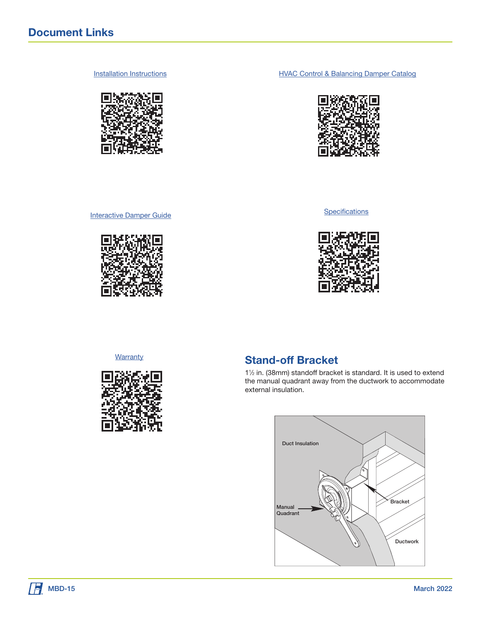

[Installation Instructions](https://content.greenheck.com/public/DAMProd/Original/10001/464599ExtPinKitMBD15_iom.pdf) **Installation Instructions [HVAC Control & Balancing Damper Catalog](https://content.greenheck.com/public/DAMProd/Original/10002/ControlDampers_catalog.pdf)** 





**[Interactive Damper Guide](https://content.greenheck.com/public/DAMProd/Original/10002/InteractiveDamperSelectionGuide.pdf)** 



**[Warranty](https://content.greenheck.com/public/DAMProd/Original/10002/damper_warranty.pdf)** 



### Stand-off Bracket

11 ⁄2 in. (38mm) standoff bracket is standard. It is used to extend the manual quadrant away from the ductwork to accommodate external insulation.